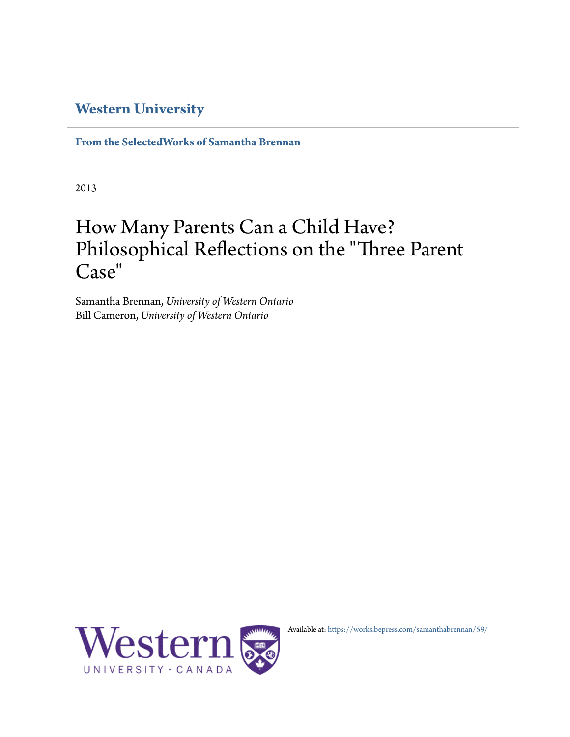## **[Western University](http://www.uwo.ca/)**

**[From the SelectedWorks of Samantha Brennan](https://works.bepress.com/samanthabrennan/)**

2013

# How Many Parents Can a Child Have? Philosophical Reflections on the "Three Parent Case"

Samantha Brennan, *University of Western Ontario* Bill Cameron, *University of Western Ontario*



Available at: <https://works.bepress.com/samanthabrennan/59/>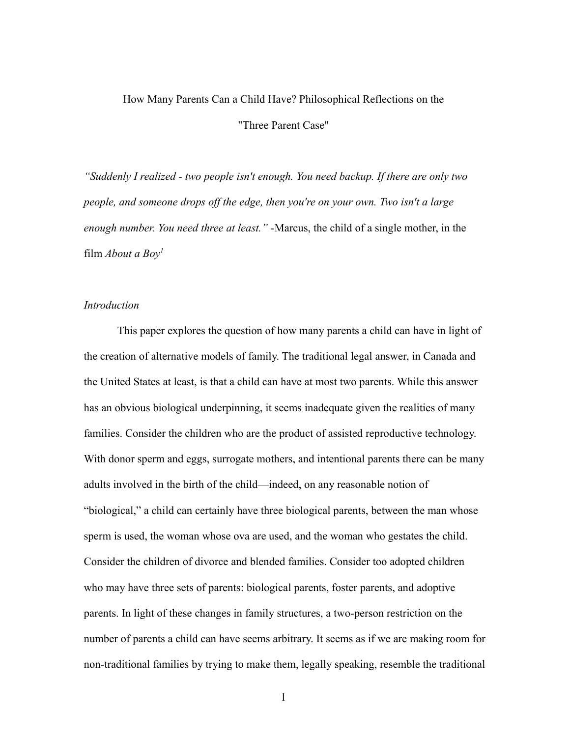# How Many Parents Can a Child Have? Philosophical Reflections on the "Three Parent Case"

*"Suddenly I realized - two people isn't enough. You need backup. If there are only two people, and someone drops off the edge, then you're on your own. Two isn't a large enough number. You need three at least." -*Marcus, the child of a single mother, in the film *About a Boy[1](#page-20-0)*

## *Introduction*

This paper explores the question of how many parents a child can have in light of the creation of alternative models of family. The traditional legal answer, in Canada and the United States at least, is that a child can have at most two parents. While this answer has an obvious biological underpinning, it seems inadequate given the realities of many families. Consider the children who are the product of assisted reproductive technology. With donor sperm and eggs, surrogate mothers, and intentional parents there can be many adults involved in the birth of the child—indeed, on any reasonable notion of "biological," a child can certainly have three biological parents, between the man whose sperm is used, the woman whose ova are used, and the woman who gestates the child. Consider the children of divorce and blended families. Consider too adopted children who may have three sets of parents: biological parents, foster parents, and adoptive parents. In light of these changes in family structures, a two-person restriction on the number of parents a child can have seems arbitrary. It seems as if we are making room for non-traditional families by trying to make them, legally speaking, resemble the traditional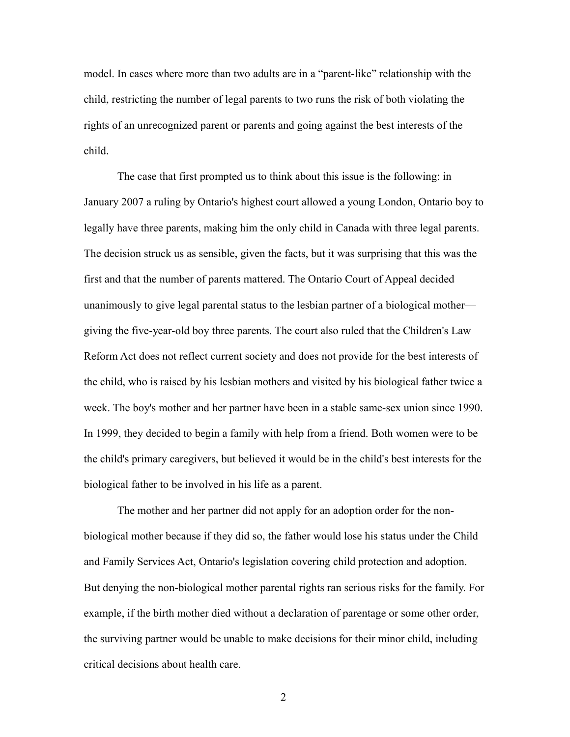model. In cases where more than two adults are in a "parent-like" relationship with the child, restricting the number of legal parents to two runs the risk of both violating the rights of an unrecognized parent or parents and going against the best interests of the child.

The case that first prompted us to think about this issue is the following: in January 2007 a ruling by Ontario's highest court allowed a young London, Ontario boy to legally have three parents, making him the only child in Canada with three legal parents. The decision struck us as sensible, given the facts, but it was surprising that this was the first and that the number of parents mattered. The Ontario Court of Appeal decided unanimously to give legal parental status to the lesbian partner of a biological mother giving the five-year-old boy three parents. The court also ruled that the Children's Law Reform Act does not reflect current society and does not provide for the best interests of the child, who is raised by his lesbian mothers and visited by his biological father twice a week. The boy's mother and her partner have been in a stable same-sex union since 1990. In 1999, they decided to begin a family with help from a friend. Both women were to be the child's primary caregivers, but believed it would be in the child's best interests for the biological father to be involved in his life as a parent.

The mother and her partner did not apply for an adoption order for the nonbiological mother because if they did so, the father would lose his status under the Child and Family Services Act, Ontario's legislation covering child protection and adoption. But denying the non-biological mother parental rights ran serious risks for the family. For example, if the birth mother died without a declaration of parentage or some other order, the surviving partner would be unable to make decisions for their minor child, including critical decisions about health care.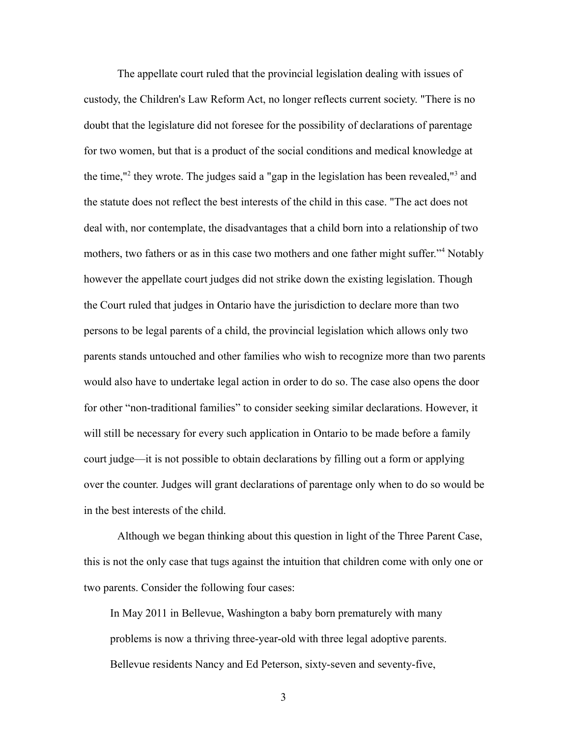The appellate court ruled that the provincial legislation dealing with issues of custody, the Children's Law Reform Act, no longer reflects current society. "There is no doubt that the legislature did not foresee for the possibility of declarations of parentage for two women, but that is a product of the social conditions and medical knowledge at the time,"<sup>[2](#page-20-1)</sup> they wrote. The judges said a "gap in the legislation has been revealed,"<sup>[3](#page-20-2)</sup> and the statute does not reflect the best interests of the child in this case. "The act does not deal with, nor contemplate, the disadvantages that a child born into a relationship of two mothers, two fathers or as in this case two mothers and one father might suffer."<sup>[4](#page-20-3)</sup> Notably however the appellate court judges did not strike down the existing legislation. Though the Court ruled that judges in Ontario have the jurisdiction to declare more than two persons to be legal parents of a child, the provincial legislation which allows only two parents stands untouched and other families who wish to recognize more than two parents would also have to undertake legal action in order to do so. The case also opens the door for other "non-traditional families" to consider seeking similar declarations. However, it will still be necessary for every such application in Ontario to be made before a family court judge—it is not possible to obtain declarations by filling out a form or applying over the counter. Judges will grant declarations of parentage only when to do so would be in the best interests of the child.

Although we began thinking about this question in light of the Three Parent Case, this is not the only case that tugs against the intuition that children come with only one or two parents. Consider the following four cases:

In May 2011 in Bellevue, Washington a baby born prematurely with many problems is now a thriving three-year-old with three legal adoptive parents. Bellevue residents Nancy and Ed Peterson, sixty-seven and seventy-five,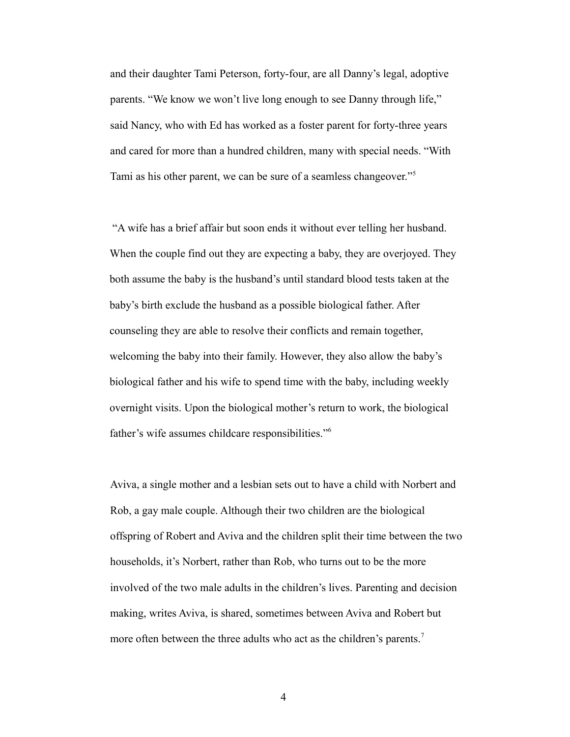and their daughter Tami Peterson, forty-four, are all Danny's legal, adoptive parents. "We know we won't live long enough to see Danny through life," said Nancy, who with Ed has worked as a foster parent for forty-three years and cared for more than a hundred children, many with special needs. "With Tami as his other parent, we can be sure of a seamless changeover."[5](#page-20-4)

 "A wife has a brief affair but soon ends it without ever telling her husband. When the couple find out they are expecting a baby, they are overjoyed. They both assume the baby is the husband's until standard blood tests taken at the baby's birth exclude the husband as a possible biological father. After counseling they are able to resolve their conflicts and remain together, welcoming the baby into their family. However, they also allow the baby's biological father and his wife to spend time with the baby, including weekly overnight visits. Upon the biological mother's return to work, the biological father's wife assumes childcare responsibilities."[6](#page-20-5)

Aviva, a single mother and a lesbian sets out to have a child with Norbert and Rob, a gay male couple. Although their two children are the biological offspring of Robert and Aviva and the children split their time between the two households, it's Norbert, rather than Rob, who turns out to be the more involved of the two male adults in the children's lives. Parenting and decision making, writes Aviva, is shared, sometimes between Aviva and Robert but more often between the three adults who act as the children's parents.<sup>[7](#page-20-6)</sup>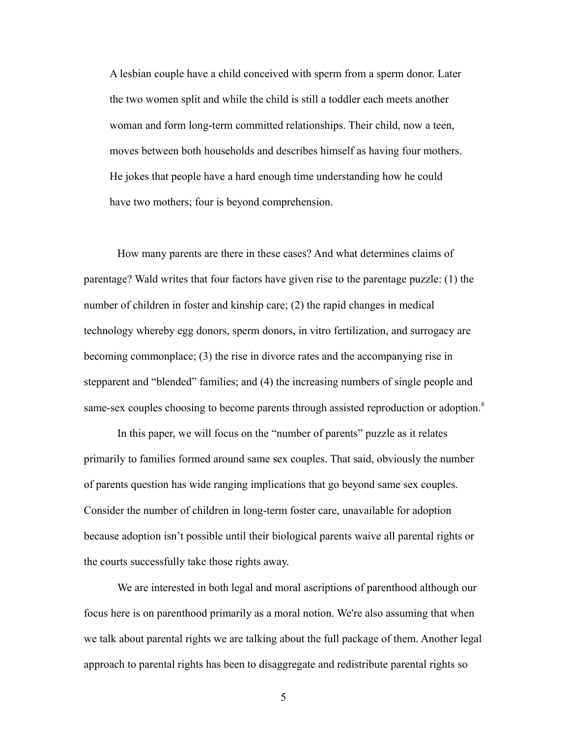A lesbian couple have a child conceived with sperm from a sperm donor. Later the two women split and while the child is still a toddler each meets another woman and form long-term committed relationships. Their child, now a teen, moves between both households and describes himself as having four mothers. He jokes that people have a hard enough time understanding how he could have two mothers; four is beyond comprehension.

How many parents are there in these cases? And what determines claims of parentage? Wald writes that four factors have given rise to the parentage puzzle: (1) the number of children in foster and kinship care; (2) the rapid changes in medical technology whereby egg donors, sperm donors, in vitro fertilization, and surrogacy are becoming commonplace; (3) the rise in divorce rates and the accompanying rise in stepparent and "blended" families; and (4) the increasing numbers of single people and same-sex couples choosing to become parents through assisted reproduction or adoption.<sup>[8](#page-20-7)</sup>

In this paper, we will focus on the "number of parents" puzzle as it relates primarily to families formed around same sex couples. That said, obviously the number of parents question has wide ranging implications that go beyond same sex couples. Consider the number of children in long-term foster care, unavailable for adoption because adoption isn't possible until their biological parents waive all parental rights or the courts successfully take those rights away.

We are interested in both legal and moral ascriptions of parenthood although our focus here is on parenthood primarily as a moral notion. We're also assuming that when we talk about parental rights we are talking about the full package of them. Another legal approach to parental rights has been to disaggregate and redistribute parental rights so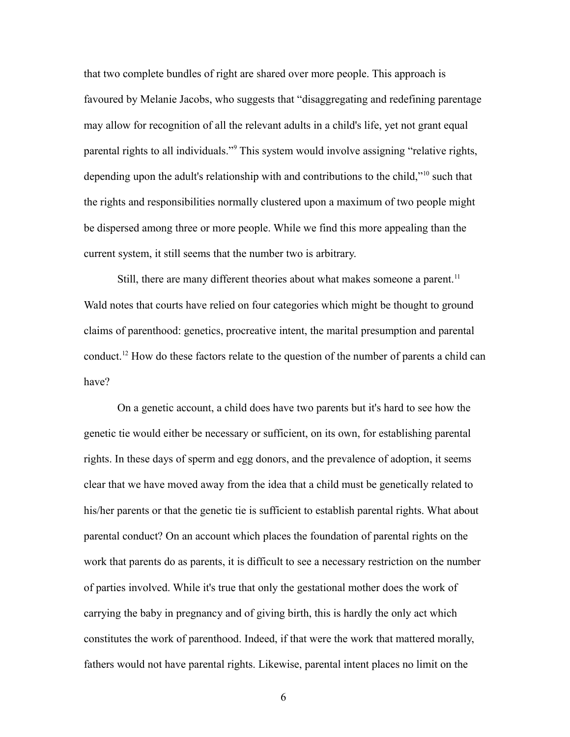that two complete bundles of right are shared over more people. This approach is favoured by Melanie Jacobs, who suggests that "disaggregating and redefining parentage may allow for recognition of all the relevant adults in a child's life, yet not grant equal parental rights to all individuals."<sup>[9](#page-20-8)</sup> This system would involve assigning "relative rights, depending upon the adult's relationship with and contributions to the child,"<sup>[10](#page-20-9)</sup> such that the rights and responsibilities normally clustered upon a maximum of two people might be dispersed among three or more people. While we find this more appealing than the current system, it still seems that the number two is arbitrary.

Still, there are many different theories about what makes someone a parent.<sup>[11](#page-20-10)</sup> Wald notes that courts have relied on four categories which might be thought to ground claims of parenthood: genetics, procreative intent, the marital presumption and parental conduct.[12](#page-20-11) How do these factors relate to the question of the number of parents a child can have?

On a genetic account, a child does have two parents but it's hard to see how the genetic tie would either be necessary or sufficient, on its own, for establishing parental rights. In these days of sperm and egg donors, and the prevalence of adoption, it seems clear that we have moved away from the idea that a child must be genetically related to his/her parents or that the genetic tie is sufficient to establish parental rights. What about parental conduct? On an account which places the foundation of parental rights on the work that parents do as parents, it is difficult to see a necessary restriction on the number of parties involved. While it's true that only the gestational mother does the work of carrying the baby in pregnancy and of giving birth, this is hardly the only act which constitutes the work of parenthood. Indeed, if that were the work that mattered morally, fathers would not have parental rights. Likewise, parental intent places no limit on the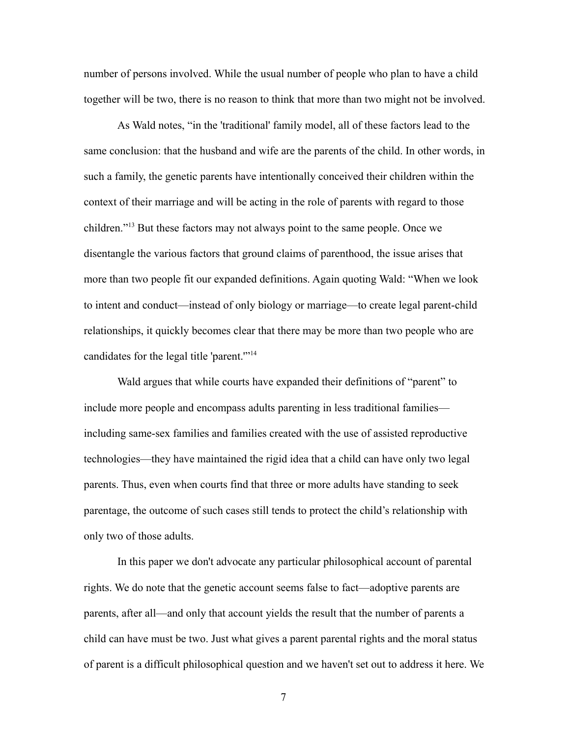number of persons involved. While the usual number of people who plan to have a child together will be two, there is no reason to think that more than two might not be involved.

As Wald notes, "in the 'traditional' family model, all of these factors lead to the same conclusion: that the husband and wife are the parents of the child. In other words, in such a family, the genetic parents have intentionally conceived their children within the context of their marriage and will be acting in the role of parents with regard to those children."[13](#page-20-12) But these factors may not always point to the same people. Once we disentangle the various factors that ground claims of parenthood, the issue arises that more than two people fit our expanded definitions. Again quoting Wald: "When we look to intent and conduct—instead of only biology or marriage—to create legal parent-child relationships, it quickly becomes clear that there may be more than two people who are candidates for the legal title 'parent.'"[14](#page-20-13)

Wald argues that while courts have expanded their definitions of "parent" to include more people and encompass adults parenting in less traditional families including same-sex families and families created with the use of assisted reproductive technologies—they have maintained the rigid idea that a child can have only two legal parents. Thus, even when courts find that three or more adults have standing to seek parentage, the outcome of such cases still tends to protect the child's relationship with only two of those adults.

In this paper we don't advocate any particular philosophical account of parental rights. We do note that the genetic account seems false to fact—adoptive parents are parents, after all—and only that account yields the result that the number of parents a child can have must be two. Just what gives a parent parental rights and the moral status of parent is a difficult philosophical question and we haven't set out to address it here. We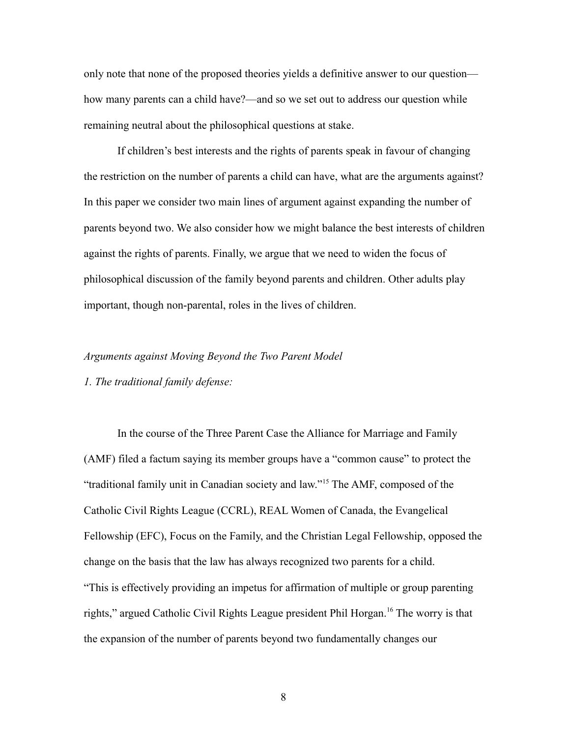only note that none of the proposed theories yields a definitive answer to our question how many parents can a child have?—and so we set out to address our question while remaining neutral about the philosophical questions at stake.

If children's best interests and the rights of parents speak in favour of changing the restriction on the number of parents a child can have, what are the arguments against? In this paper we consider two main lines of argument against expanding the number of parents beyond two. We also consider how we might balance the best interests of children against the rights of parents. Finally, we argue that we need to widen the focus of philosophical discussion of the family beyond parents and children. Other adults play important, though non-parental, roles in the lives of children.

#### *Arguments against Moving Beyond the Two Parent Model*

#### *1. The traditional family defense:*

In the course of the Three Parent Case the Alliance for Marriage and Family (AMF) filed a factum saying its member groups have a "common cause" to protect the "traditional family unit in Canadian society and law."[15](#page-20-14) The AMF, composed of the Catholic Civil Rights League (CCRL), REAL Women of Canada, the Evangelical Fellowship (EFC), Focus on the Family, and the Christian Legal Fellowship, opposed the change on the basis that the law has always recognized two parents for a child. "This is effectively providing an impetus for affirmation of multiple or group parenting rights," argued Catholic Civil Rights League president Phil Horgan.<sup>[16](#page-20-15)</sup> The worry is that the expansion of the number of parents beyond two fundamentally changes our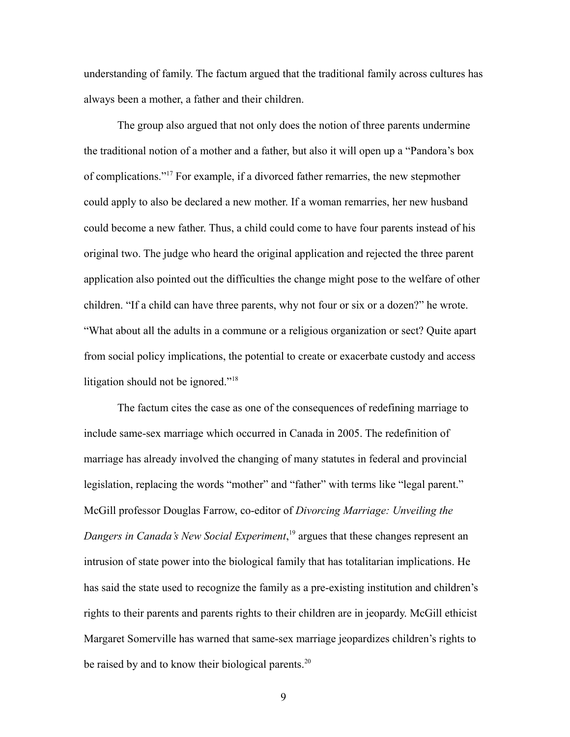understanding of family. The factum argued that the traditional family across cultures has always been a mother, a father and their children.

The group also argued that not only does the notion of three parents undermine the traditional notion of a mother and a father, but also it will open up a "Pandora's box of complications."[17](#page-20-16) For example, if a divorced father remarries, the new stepmother could apply to also be declared a new mother. If a woman remarries, her new husband could become a new father. Thus, a child could come to have four parents instead of his original two. The judge who heard the original application and rejected the three parent application also pointed out the difficulties the change might pose to the welfare of other children. "If a child can have three parents, why not four or six or a dozen?" he wrote. "What about all the adults in a commune or a religious organization or sect? Quite apart from social policy implications, the potential to create or exacerbate custody and access litigation should not be ignored."<sup>[18](#page-20-17)</sup>

The factum cites the case as one of the consequences of redefining marriage to include same-sex marriage which occurred in Canada in 2005. The redefinition of marriage has already involved the changing of many statutes in federal and provincial legislation, replacing the words "mother" and "father" with terms like "legal parent." McGill professor Douglas Farrow, co-editor of *Divorcing Marriage: Unveiling the Dangers in Canada's New Social Experiment*, [19](#page-20-18) argues that these changes represent an intrusion of state power into the biological family that has totalitarian implications. He has said the state used to recognize the family as a pre-existing institution and children's rights to their parents and parents rights to their children are in jeopardy. McGill ethicist Margaret Somerville has warned that same-sex marriage jeopardizes children's rights to be raised by and to know their biological parents.<sup>[20](#page-20-19)</sup>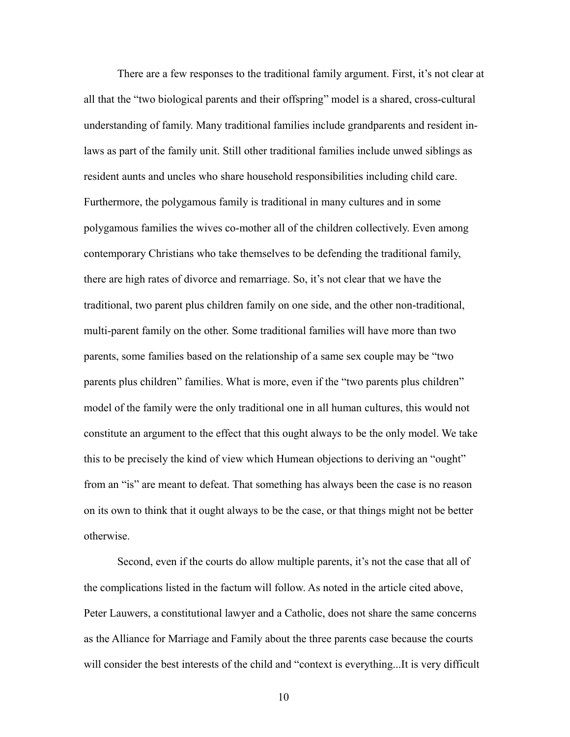There are a few responses to the traditional family argument. First, it's not clear at all that the "two biological parents and their offspring" model is a shared, cross-cultural understanding of family. Many traditional families include grandparents and resident inlaws as part of the family unit. Still other traditional families include unwed siblings as resident aunts and uncles who share household responsibilities including child care. Furthermore, the polygamous family is traditional in many cultures and in some polygamous families the wives co-mother all of the children collectively. Even among contemporary Christians who take themselves to be defending the traditional family, there are high rates of divorce and remarriage. So, it's not clear that we have the traditional, two parent plus children family on one side, and the other non-traditional, multi-parent family on the other. Some traditional families will have more than two parents, some families based on the relationship of a same sex couple may be "two parents plus children" families. What is more, even if the "two parents plus children" model of the family were the only traditional one in all human cultures, this would not constitute an argument to the effect that this ought always to be the only model. We take this to be precisely the kind of view which Humean objections to deriving an "ought" from an "is" are meant to defeat. That something has always been the case is no reason on its own to think that it ought always to be the case, or that things might not be better otherwise.

Second, even if the courts do allow multiple parents, it's not the case that all of the complications listed in the factum will follow. As noted in the article cited above, Peter Lauwers, a constitutional lawyer and a Catholic, does not share the same concerns as the Alliance for Marriage and Family about the three parents case because the courts will consider the best interests of the child and "context is everything...It is very difficult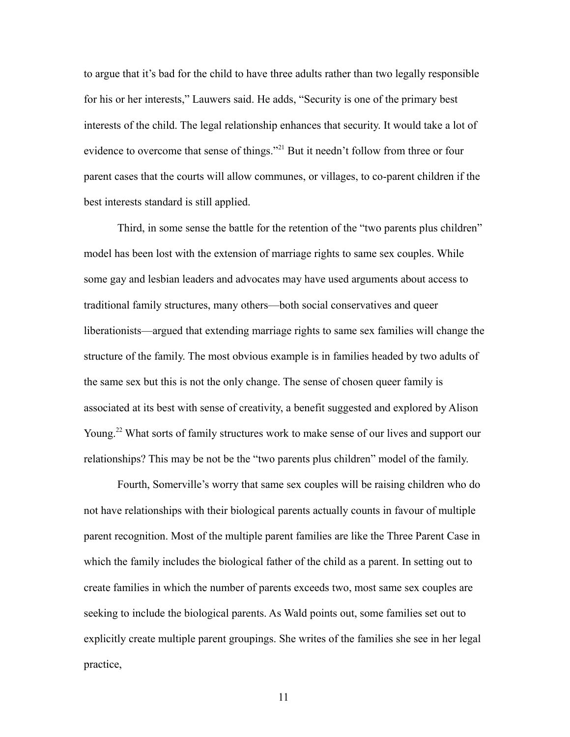to argue that it's bad for the child to have three adults rather than two legally responsible for his or her interests," Lauwers said. He adds, "Security is one of the primary best interests of the child. The legal relationship enhances that security. It would take a lot of evidence to overcome that sense of things."<sup>[21](#page-20-20)</sup> But it needn't follow from three or four parent cases that the courts will allow communes, or villages, to co-parent children if the best interests standard is still applied.

Third, in some sense the battle for the retention of the "two parents plus children" model has been lost with the extension of marriage rights to same sex couples. While some gay and lesbian leaders and advocates may have used arguments about access to traditional family structures, many others—both social conservatives and queer liberationists—argued that extending marriage rights to same sex families will change the structure of the family. The most obvious example is in families headed by two adults of the same sex but this is not the only change. The sense of chosen queer family is associated at its best with sense of creativity, a benefit suggested and explored by Alison Young.<sup>[22](#page-20-21)</sup> What sorts of family structures work to make sense of our lives and support our relationships? This may be not be the "two parents plus children" model of the family.

Fourth, Somerville's worry that same sex couples will be raising children who do not have relationships with their biological parents actually counts in favour of multiple parent recognition. Most of the multiple parent families are like the Three Parent Case in which the family includes the biological father of the child as a parent. In setting out to create families in which the number of parents exceeds two, most same sex couples are seeking to include the biological parents. As Wald points out, some families set out to explicitly create multiple parent groupings. She writes of the families she see in her legal practice,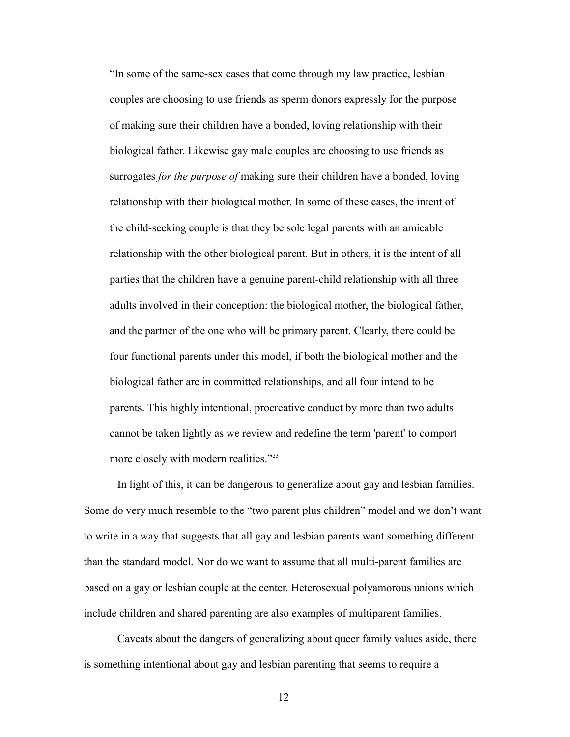"In some of the same-sex cases that come through my law practice, lesbian couples are choosing to use friends as sperm donors expressly for the purpose of making sure their children have a bonded, loving relationship with their biological father. Likewise gay male couples are choosing to use friends as surrogates *for the purpose of* making sure their children have a bonded, loving relationship with their biological mother. In some of these cases, the intent of the child-seeking couple is that they be sole legal parents with an amicable relationship with the other biological parent. But in others, it is the intent of all parties that the children have a genuine parent-child relationship with all three adults involved in their conception: the biological mother, the biological father, and the partner of the one who will be primary parent. Clearly, there could be four functional parents under this model, if both the biological mother and the biological father are in committed relationships, and all four intend to be parents. This highly intentional, procreative conduct by more than two adults cannot be taken lightly as we review and redefine the term 'parent' to comport more closely with modern realities."<sup>[23](#page-20-22)</sup>

In light of this, it can be dangerous to generalize about gay and lesbian families. Some do very much resemble to the "two parent plus children" model and we don't want to write in a way that suggests that all gay and lesbian parents want something different than the standard model. Nor do we want to assume that all multi-parent families are based on a gay or lesbian couple at the center. Heterosexual polyamorous unions which include children and shared parenting are also examples of multiparent families.

Caveats about the dangers of generalizing about queer family values aside, there is something intentional about gay and lesbian parenting that seems to require a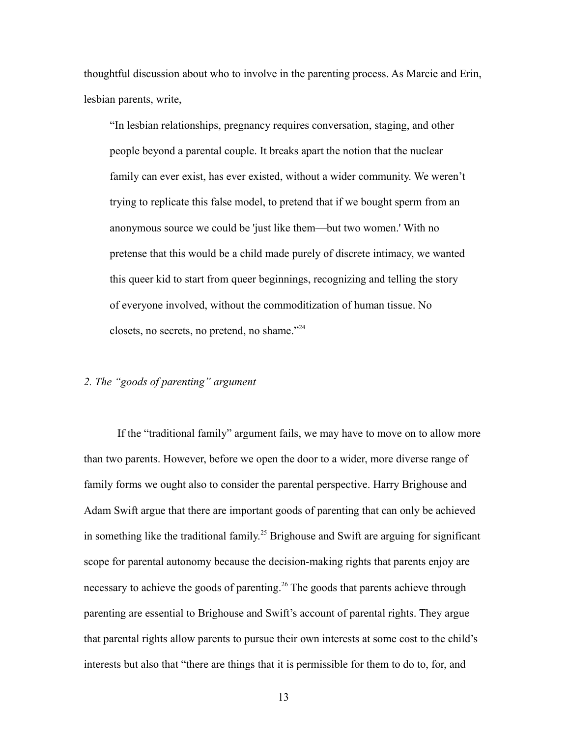thoughtful discussion about who to involve in the parenting process. As Marcie and Erin, lesbian parents, write,

"In lesbian relationships, pregnancy requires conversation, staging, and other people beyond a parental couple. It breaks apart the notion that the nuclear family can ever exist, has ever existed, without a wider community. We weren't trying to replicate this false model, to pretend that if we bought sperm from an anonymous source we could be 'just like them—but two women.' With no pretense that this would be a child made purely of discrete intimacy, we wanted this queer kid to start from queer beginnings, recognizing and telling the story of everyone involved, without the commoditization of human tissue. No closets, no secrets, no pretend, no shame. $^{224}$  $^{224}$  $^{224}$ 

## *2. The "goods of parenting" argument*

If the "traditional family" argument fails, we may have to move on to allow more than two parents. However, before we open the door to a wider, more diverse range of family forms we ought also to consider the parental perspective. Harry Brighouse and Adam Swift argue that there are important goods of parenting that can only be achieved in something like the traditional family.<sup>[25](#page-21-0)</sup> Brighouse and Swift are arguing for significant scope for parental autonomy because the decision-making rights that parents enjoy are necessary to achieve the goods of parenting.<sup>[26](#page-21-1)</sup> The goods that parents achieve through parenting are essential to Brighouse and Swift's account of parental rights. They argue that parental rights allow parents to pursue their own interests at some cost to the child's interests but also that "there are things that it is permissible for them to do to, for, and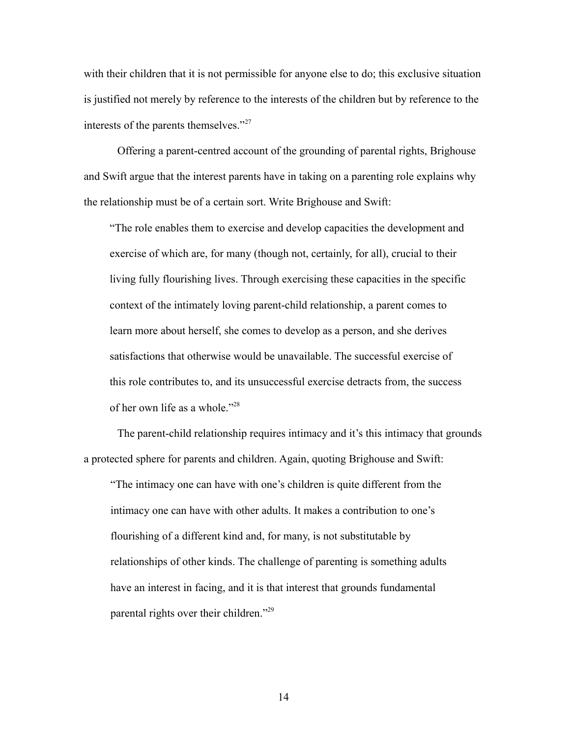with their children that it is not permissible for anyone else to do; this exclusive situation is justified not merely by reference to the interests of the children but by reference to the interests of the parents themselves."<sup>[27](#page-21-2)</sup>

Offering a parent-centred account of the grounding of parental rights, Brighouse and Swift argue that the interest parents have in taking on a parenting role explains why the relationship must be of a certain sort. Write Brighouse and Swift:

"The role enables them to exercise and develop capacities the development and exercise of which are, for many (though not, certainly, for all), crucial to their living fully flourishing lives. Through exercising these capacities in the specific context of the intimately loving parent-child relationship, a parent comes to learn more about herself, she comes to develop as a person, and she derives satisfactions that otherwise would be unavailable. The successful exercise of this role contributes to, and its unsuccessful exercise detracts from, the success of her own life as a whole."<sup>[28](#page-21-3)</sup>

The parent-child relationship requires intimacy and it's this intimacy that grounds a protected sphere for parents and children. Again, quoting Brighouse and Swift:

"The intimacy one can have with one's children is quite different from the intimacy one can have with other adults. It makes a contribution to one's flourishing of a different kind and, for many, is not substitutable by relationships of other kinds. The challenge of parenting is something adults have an interest in facing, and it is that interest that grounds fundamental parental rights over their children."[29](#page-21-4)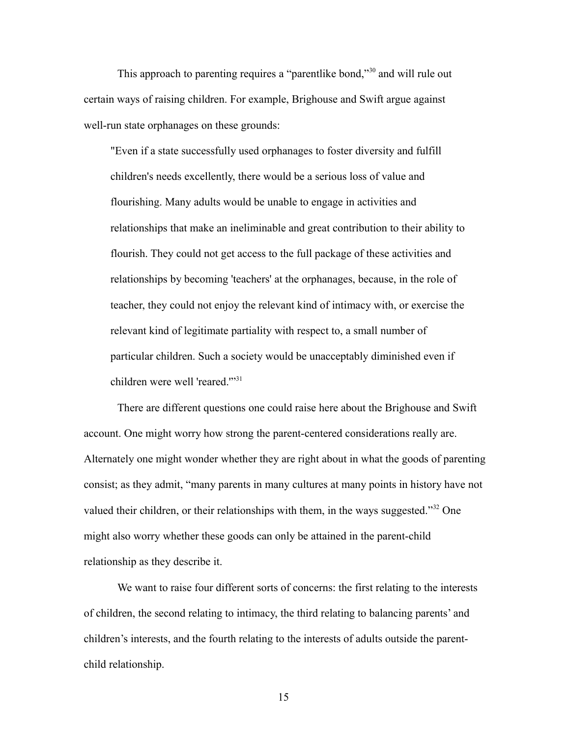This approach to parenting requires a "parentlike bond,"<sup>[30](#page-21-5)</sup> and will rule out certain ways of raising children. For example, Brighouse and Swift argue against well-run state orphanages on these grounds:

"Even if a state successfully used orphanages to foster diversity and fulfill children's needs excellently, there would be a serious loss of value and flourishing. Many adults would be unable to engage in activities and relationships that make an ineliminable and great contribution to their ability to flourish. They could not get access to the full package of these activities and relationships by becoming 'teachers' at the orphanages, because, in the role of teacher, they could not enjoy the relevant kind of intimacy with, or exercise the relevant kind of legitimate partiality with respect to, a small number of particular children. Such a society would be unacceptably diminished even if children were well 'reared."<sup>[31](#page-21-6)</sup>

There are different questions one could raise here about the Brighouse and Swift account. One might worry how strong the parent-centered considerations really are. Alternately one might wonder whether they are right about in what the goods of parenting consist; as they admit, "many parents in many cultures at many points in history have not valued their children, or their relationships with them, in the ways suggested.<sup>3[32](#page-21-7)</sup> One might also worry whether these goods can only be attained in the parent-child relationship as they describe it.

We want to raise four different sorts of concerns: the first relating to the interests of children, the second relating to intimacy, the third relating to balancing parents' and children's interests, and the fourth relating to the interests of adults outside the parentchild relationship.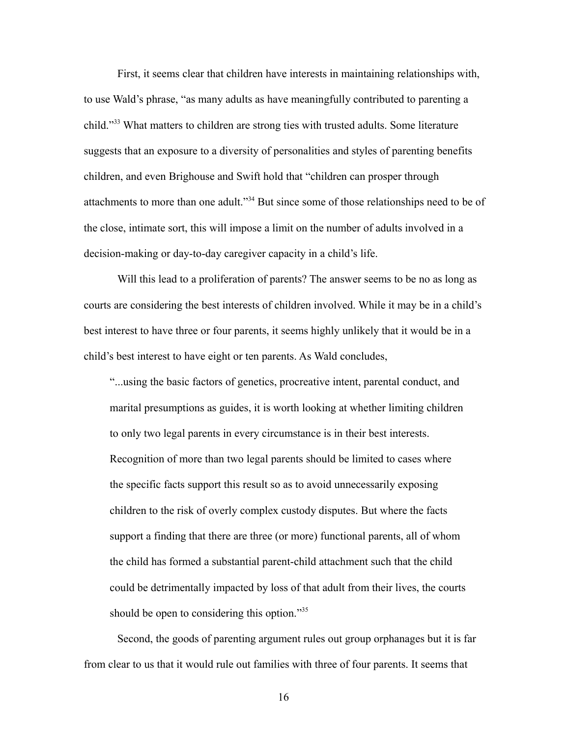First, it seems clear that children have interests in maintaining relationships with, to use Wald's phrase, "as many adults as have meaningfully contributed to parenting a child."[33](#page-21-8) What matters to children are strong ties with trusted adults. Some literature suggests that an exposure to a diversity of personalities and styles of parenting benefits children, and even Brighouse and Swift hold that "children can prosper through attachments to more than one adult."[34](#page-21-9) But since some of those relationships need to be of the close, intimate sort, this will impose a limit on the number of adults involved in a decision-making or day-to-day caregiver capacity in a child's life.

Will this lead to a proliferation of parents? The answer seems to be no as long as courts are considering the best interests of children involved. While it may be in a child's best interest to have three or four parents, it seems highly unlikely that it would be in a child's best interest to have eight or ten parents. As Wald concludes,

"...using the basic factors of genetics, procreative intent, parental conduct, and marital presumptions as guides, it is worth looking at whether limiting children to only two legal parents in every circumstance is in their best interests. Recognition of more than two legal parents should be limited to cases where the specific facts support this result so as to avoid unnecessarily exposing children to the risk of overly complex custody disputes. But where the facts support a finding that there are three (or more) functional parents, all of whom the child has formed a substantial parent-child attachment such that the child could be detrimentally impacted by loss of that adult from their lives, the courts should be open to considering this option."<sup>[35](#page-21-10)</sup>

Second, the goods of parenting argument rules out group orphanages but it is far from clear to us that it would rule out families with three of four parents. It seems that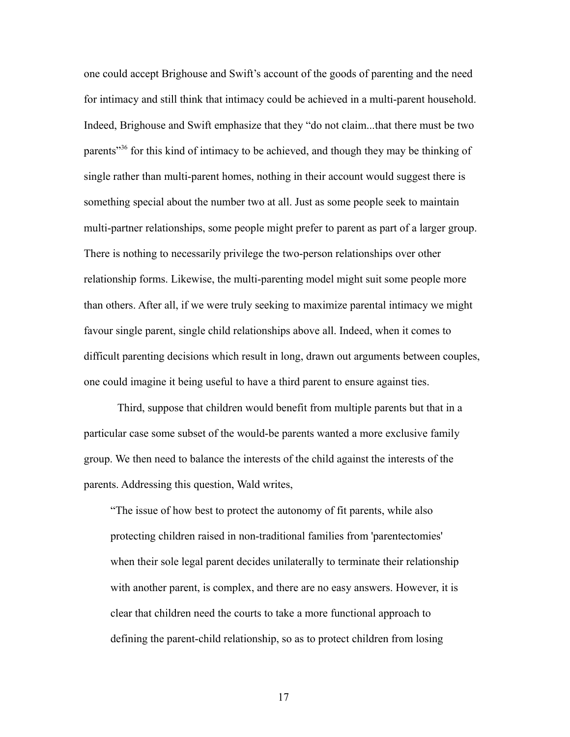one could accept Brighouse and Swift's account of the goods of parenting and the need for intimacy and still think that intimacy could be achieved in a multi-parent household. Indeed, Brighouse and Swift emphasize that they "do not claim...that there must be two parents<sup>356</sup> for this kind of intimacy to be achieved, and though they may be thinking of single rather than multi-parent homes, nothing in their account would suggest there is something special about the number two at all. Just as some people seek to maintain multi-partner relationships, some people might prefer to parent as part of a larger group. There is nothing to necessarily privilege the two-person relationships over other relationship forms. Likewise, the multi-parenting model might suit some people more than others. After all, if we were truly seeking to maximize parental intimacy we might favour single parent, single child relationships above all. Indeed, when it comes to difficult parenting decisions which result in long, drawn out arguments between couples, one could imagine it being useful to have a third parent to ensure against ties.

Third, suppose that children would benefit from multiple parents but that in a particular case some subset of the would-be parents wanted a more exclusive family group. We then need to balance the interests of the child against the interests of the parents. Addressing this question, Wald writes,

"The issue of how best to protect the autonomy of fit parents, while also protecting children raised in non-traditional families from 'parentectomies' when their sole legal parent decides unilaterally to terminate their relationship with another parent, is complex, and there are no easy answers. However, it is clear that children need the courts to take a more functional approach to defining the parent-child relationship, so as to protect children from losing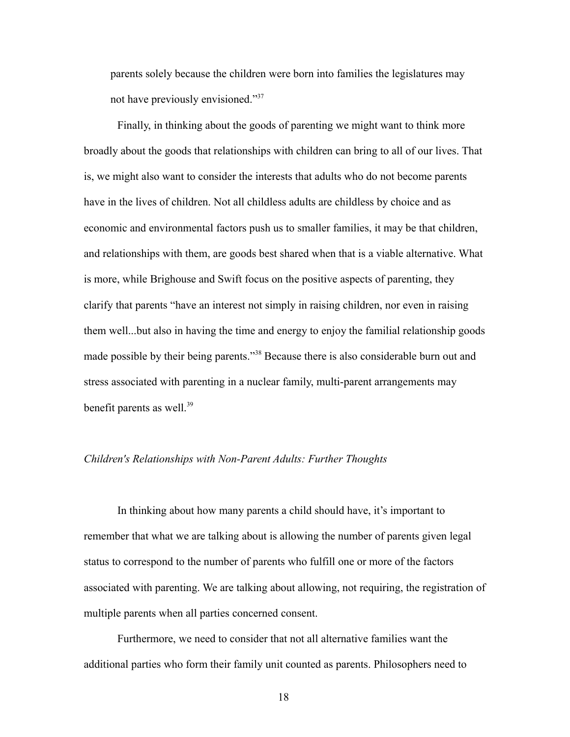parents solely because the children were born into families the legislatures may not have previously envisioned."[37](#page-21-12)

Finally, in thinking about the goods of parenting we might want to think more broadly about the goods that relationships with children can bring to all of our lives. That is, we might also want to consider the interests that adults who do not become parents have in the lives of children. Not all childless adults are childless by choice and as economic and environmental factors push us to smaller families, it may be that children, and relationships with them, are goods best shared when that is a viable alternative. What is more, while Brighouse and Swift focus on the positive aspects of parenting, they clarify that parents "have an interest not simply in raising children, nor even in raising them well...but also in having the time and energy to enjoy the familial relationship goods made possible by their being parents."<sup>[38](#page-21-13)</sup> Because there is also considerable burn out and stress associated with parenting in a nuclear family, multi-parent arrangements may benefit parents as well. $^{39}$  $^{39}$  $^{39}$ 

#### *Children's Relationships with Non-Parent Adults: Further Thoughts*

In thinking about how many parents a child should have, it's important to remember that what we are talking about is allowing the number of parents given legal status to correspond to the number of parents who fulfill one or more of the factors associated with parenting. We are talking about allowing, not requiring, the registration of multiple parents when all parties concerned consent.

Furthermore, we need to consider that not all alternative families want the additional parties who form their family unit counted as parents. Philosophers need to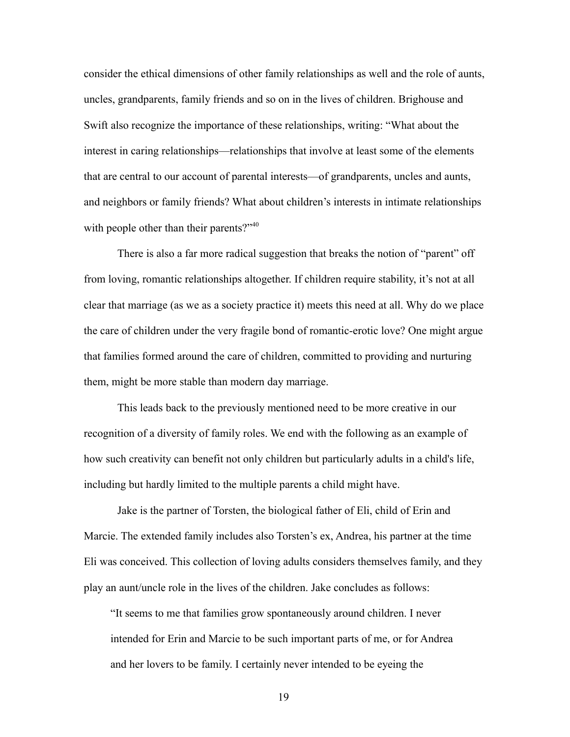consider the ethical dimensions of other family relationships as well and the role of aunts, uncles, grandparents, family friends and so on in the lives of children. Brighouse and Swift also recognize the importance of these relationships, writing: "What about the interest in caring relationships—relationships that involve at least some of the elements that are central to our account of parental interests—of grandparents, uncles and aunts, and neighbors or family friends? What about children's interests in intimate relationships with people other than their parents?"<sup>[40](#page-21-15)</sup>

There is also a far more radical suggestion that breaks the notion of "parent" off from loving, romantic relationships altogether. If children require stability, it's not at all clear that marriage (as we as a society practice it) meets this need at all. Why do we place the care of children under the very fragile bond of romantic-erotic love? One might argue that families formed around the care of children, committed to providing and nurturing them, might be more stable than modern day marriage.

This leads back to the previously mentioned need to be more creative in our recognition of a diversity of family roles. We end with the following as an example of how such creativity can benefit not only children but particularly adults in a child's life, including but hardly limited to the multiple parents a child might have.

Jake is the partner of Torsten, the biological father of Eli, child of Erin and Marcie. The extended family includes also Torsten's ex, Andrea, his partner at the time Eli was conceived. This collection of loving adults considers themselves family, and they play an aunt/uncle role in the lives of the children. Jake concludes as follows:

"It seems to me that families grow spontaneously around children. I never intended for Erin and Marcie to be such important parts of me, or for Andrea and her lovers to be family. I certainly never intended to be eyeing the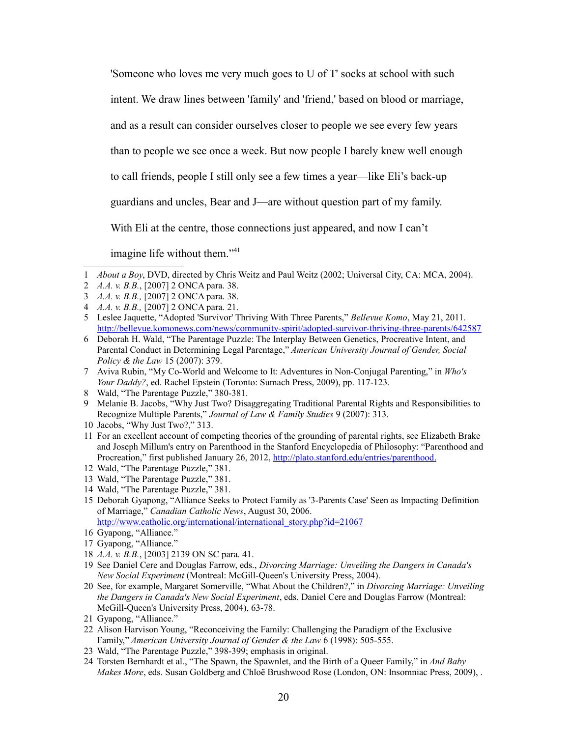'Someone who loves me very much goes to U of T' socks at school with such

intent. We draw lines between 'family' and 'friend,' based on blood or marriage,

and as a result can consider ourselves closer to people we see every few years

than to people we see once a week. But now people I barely knew well enough

to call friends, people I still only see a few times a year—like Eli's back-up

guardians and uncles, Bear and J—are without question part of my family.

With Eli at the centre, those connections just appeared, and now I can't

imagine life without them."<sup>[41](#page-21-16)</sup>

- <span id="page-20-17"></span>18 *A.A. v. B.B.*, [2003] 2139 ON SC para. 41.
- <span id="page-20-18"></span>19 See Daniel Cere and Douglas Farrow, eds., *Divorcing Marriage: Unveiling the Dangers in Canada's New Social Experiment* (Montreal: McGill-Queen's University Press, 2004).
- <span id="page-20-19"></span>20 See, for example, Margaret Somerville, "What About the Children?," in *Divorcing Marriage: Unveiling the Dangers in Canada's New Social Experiment*, eds. Daniel Cere and Douglas Farrow (Montreal: McGill-Queen's University Press, 2004), 63-78.
- <span id="page-20-20"></span>21 Gyapong, "Alliance."
- <span id="page-20-21"></span>22 Alison Harvison Young, "Reconceiving the Family: Challenging the Paradigm of the Exclusive Family," *American University Journal of Gender & the Law* 6 (1998): 505-555.
- <span id="page-20-22"></span>23 Wald, "The Parentage Puzzle," 398-399; emphasis in original.
- <span id="page-20-23"></span>24 Torsten Bernhardt et al., "The Spawn, the Spawnlet, and the Birth of a Queer Family," in *And Baby Makes More*, eds. Susan Goldberg and Chloë Brushwood Rose (London, ON: Insomniac Press, 2009), .

<span id="page-20-0"></span><sup>1</sup> *About a Boy*, DVD, directed by Chris Weitz and Paul Weitz (2002; Universal City, CA: MCA, 2004).

<span id="page-20-1"></span><sup>2</sup> *A.A. v. B.B.*, [2007] 2 ONCA para. 38.

<span id="page-20-2"></span><sup>3</sup> *A.A. v. B.B.,* [2007] 2 ONCA para. 38.

<span id="page-20-3"></span><sup>4</sup> *A.A. v. B.B.,* [2007] 2 ONCA para. 21.

<span id="page-20-4"></span><sup>5</sup> Leslee Jaquette, "Adopted 'Survivor' Thriving With Three Parents," *Bellevue Komo*, May 21, 2011. <http://bellevue.komonews.com/news/community-spirit/adopted-survivor-thriving-three-parents/642587>

<span id="page-20-5"></span><sup>6</sup> Deborah H. Wald, "The Parentage Puzzle: The Interplay Between Genetics, Procreative Intent, and Parental Conduct in Determining Legal Parentage," *American University Journal of Gender, Social Policy & the Law* 15 (2007): 379.

<span id="page-20-6"></span><sup>7</sup> Aviva Rubin, "My Co-World and Welcome to It: Adventures in Non-Conjugal Parenting," in *Who's Your Daddy?*, ed. Rachel Epstein (Toronto: Sumach Press, 2009), pp. 117-123.

<span id="page-20-7"></span><sup>8</sup> Wald, "The Parentage Puzzle," 380-381.

<span id="page-20-8"></span><sup>9</sup> Melanie B. Jacobs, "Why Just Two? Disaggregating Traditional Parental Rights and Responsibilities to Recognize Multiple Parents," *Journal of Law & Family Studies* 9 (2007): 313.

<span id="page-20-9"></span><sup>10</sup> Jacobs, "Why Just Two?," 313.

<span id="page-20-10"></span><sup>11</sup> For an excellent account of competing theories of the grounding of parental rights, see Elizabeth Brake and Joseph Millum's entry on Parenthood in the Stanford Encyclopedia of Philosophy: "Parenthood and Procreation," first published January 26, 2012, [http://plato.stanford.edu/entries/parenthood.](http://plato.stanford.edu/entries/parenthood)

<span id="page-20-11"></span><sup>12</sup> Wald, "The Parentage Puzzle," 381.

<span id="page-20-12"></span><sup>13</sup> Wald, "The Parentage Puzzle," 381.

<span id="page-20-13"></span><sup>14</sup> Wald, "The Parentage Puzzle," 381.

<span id="page-20-14"></span><sup>15</sup> Deborah Gyapong, "Alliance Seeks to Protect Family as '3-Parents Case' Seen as Impacting Definition of Marriage," *Canadian Catholic News*, August 30, 2006. [http://www.catholic.org/international/international\\_story.php?id=21067](http://www.catholic.org/international/international_story.php?id=21067)

<span id="page-20-15"></span><sup>16</sup> Gyapong, "Alliance."

<span id="page-20-16"></span><sup>17</sup> Gyapong, "Alliance."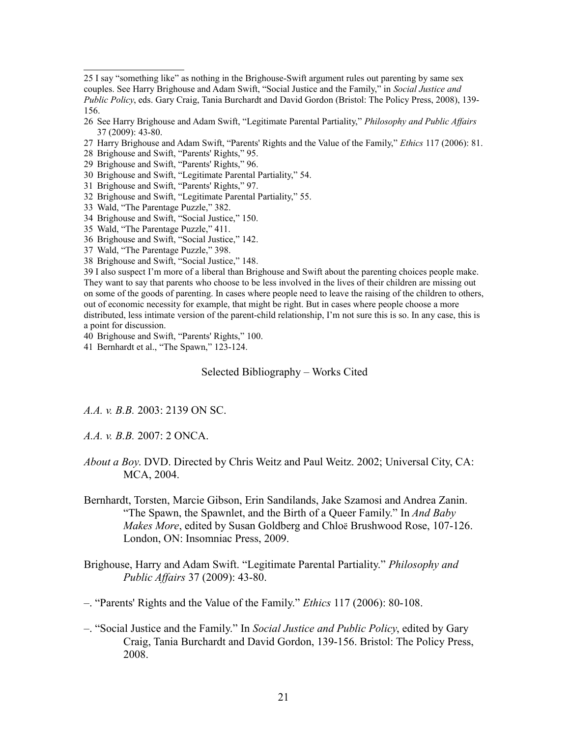- <span id="page-21-1"></span>26 See Harry Brighouse and Adam Swift, "Legitimate Parental Partiality," *Philosophy and Public Affairs* 37 (2009): 43-80.
- <span id="page-21-2"></span>27 Harry Brighouse and Adam Swift, "Parents' Rights and the Value of the Family," *Ethics* 117 (2006): 81.
- <span id="page-21-3"></span>28 Brighouse and Swift, "Parents' Rights," 95.
- <span id="page-21-4"></span>29 Brighouse and Swift, "Parents' Rights," 96.
- <span id="page-21-5"></span>30 Brighouse and Swift, "Legitimate Parental Partiality," 54.
- <span id="page-21-6"></span>31 Brighouse and Swift, "Parents' Rights," 97.
- <span id="page-21-7"></span>32 Brighouse and Swift, "Legitimate Parental Partiality," 55.
- <span id="page-21-8"></span>33 Wald, "The Parentage Puzzle," 382.
- <span id="page-21-9"></span>34 Brighouse and Swift, "Social Justice," 150.
- <span id="page-21-10"></span>35 Wald, "The Parentage Puzzle," 411.
- <span id="page-21-11"></span>36 Brighouse and Swift, "Social Justice," 142.
- <span id="page-21-12"></span>37 Wald, "The Parentage Puzzle," 398.
- <span id="page-21-13"></span>38 Brighouse and Swift, "Social Justice," 148.

<span id="page-21-14"></span>39 I also suspect I'm more of a liberal than Brighouse and Swift about the parenting choices people make. They want to say that parents who choose to be less involved in the lives of their children are missing out on some of the goods of parenting. In cases where people need to leave the raising of the children to others, out of economic necessity for example, that might be right. But in cases where people choose a more distributed, less intimate version of the parent-child relationship, I'm not sure this is so. In any case, this is a point for discussion.

- <span id="page-21-15"></span>40 Brighouse and Swift, "Parents' Rights," 100.
- <span id="page-21-16"></span>41 Bernhardt et al., "The Spawn," 123-124.

## Selected Bibliography – Works Cited

#### *A.A. v. B.B.* 2003: 2139 ON SC.

*A.A. v. B.B.* 2007: 2 ONCA.

- *About a Boy*. DVD. Directed by Chris Weitz and Paul Weitz. 2002; Universal City, CA: MCA, 2004.
- Bernhardt, Torsten, Marcie Gibson, Erin Sandilands, Jake Szamosi and Andrea Zanin. "The Spawn, the Spawnlet, and the Birth of a Queer Family." In *And Baby Makes More*, edited by Susan Goldberg and Chloë Brushwood Rose, 107-126. London, ON: Insomniac Press, 2009.
- Brighouse, Harry and Adam Swift. "Legitimate Parental Partiality." *Philosophy and Public Affairs* 37 (2009): 43-80.
- –. "Parents' Rights and the Value of the Family." *Ethics* 117 (2006): 80-108.
- –. "Social Justice and the Family." In *Social Justice and Public Policy*, edited by Gary Craig, Tania Burchardt and David Gordon, 139-156. Bristol: The Policy Press, 2008.

<span id="page-21-0"></span><sup>25</sup> I say "something like" as nothing in the Brighouse-Swift argument rules out parenting by same sex couples. See Harry Brighouse and Adam Swift, "Social Justice and the Family," in *Social Justice and Public Policy*, eds. Gary Craig, Tania Burchardt and David Gordon (Bristol: The Policy Press, 2008), 139- 156.